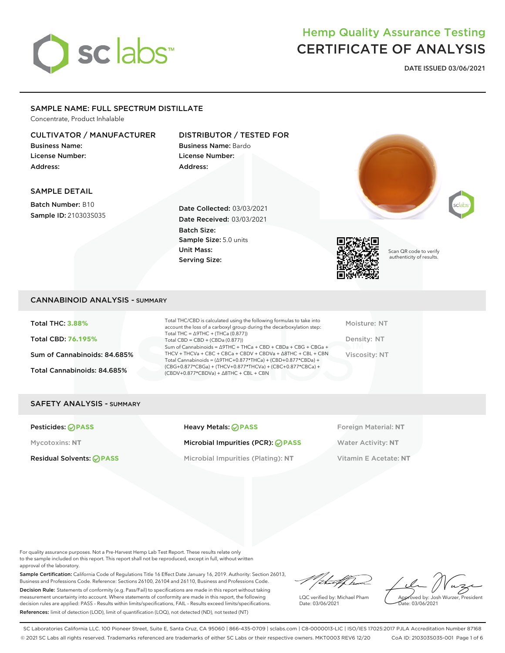# sclabs<sup>\*</sup>

## Hemp Quality Assurance Testing CERTIFICATE OF ANALYSIS

**DATE ISSUED 03/06/2021**

#### SAMPLE NAME: FULL SPECTRUM DISTILLATE

Concentrate, Product Inhalable

#### CULTIVATOR / MANUFACTURER

Business Name: License Number: Address:

#### DISTRIBUTOR / TESTED FOR

Business Name: Bardo License Number: Address:







Scan QR code to verify authenticity of results.

#### SAMPLE DETAIL

Batch Number: B10 Sample ID: 210303S035

Date Collected: 03/03/2021 Date Received: 03/03/2021 Batch Size: Sample Size: 5.0 units Unit Mass: Serving Size:

#### CANNABINOID ANALYSIS - SUMMARY

Total THC: **3.88%** Total CBD: **76.195%** Sum of Cannabinoids: 84.685% Total Cannabinoids: 84.685%

Total THC/CBD is calculated using the following formulas to take into account the loss of a carboxyl group during the decarboxylation step: Total THC = ∆9THC + (THCa (0.877)) Total CBD = CBD + (CBDa (0.877)) Sum of Cannabinoids = ∆9THC + THCa + CBD + CBDa + CBG + CBGa + THCV + THCVa + CBC + CBCa + CBDV + CBDVa + ∆8THC + CBL + CBN Total Cannabinoids = (∆9THC+0.877\*THCa) + (CBD+0.877\*CBDa) + (CBG+0.877\*CBGa) + (THCV+0.877\*THCVa) + (CBC+0.877\*CBCa) + (CBDV+0.877\*CBDVa) + ∆8THC + CBL + CBN

Moisture: NT Density: NT Viscosity: NT

#### SAFETY ANALYSIS - SUMMARY

**Pesticides: PASS Heavy Metals: PASS** Foreign Material: NT

Mycotoxins: **NT** Microbial Impurities (PCR): **PASS** Water Activity: **NT**

Residual Solvents: **PASS** Microbial Impurities (Plating): **NT** Vitamin E Acetate: **NT**

For quality assurance purposes. Not a Pre-Harvest Hemp Lab Test Report. These results relate only to the sample included on this report. This report shall not be reproduced, except in full, without written approval of the laboratory.

Sample Certification: California Code of Regulations Title 16 Effect Date January 16, 2019. Authority: Section 26013, Business and Professions Code. Reference: Sections 26100, 26104 and 26110, Business and Professions Code. Decision Rule: Statements of conformity (e.g. Pass/Fail) to specifications are made in this report without taking measurement uncertainty into account. Where statements of conformity are made in this report, the following decision rules are applied: PASS – Results within limits/specifications, FAIL – Results exceed limits/specifications. References: limit of detection (LOD), limit of quantification (LOQ), not detected (ND), not tested (NT)

/ital/had

LQC verified by: Michael Pham Date: 03/06/2021

Approved by: Josh Wurzer, President Date: 03/06/2021

SC Laboratories California LLC. 100 Pioneer Street, Suite E, Santa Cruz, CA 95060 | 866-435-0709 | sclabs.com | C8-0000013-LIC | ISO/IES 17025:2017 PJLA Accreditation Number 87168 © 2021 SC Labs all rights reserved. Trademarks referenced are trademarks of either SC Labs or their respective owners. MKT0003 REV6 12/20 CoA ID: 210303S035-001 Page 1 of 6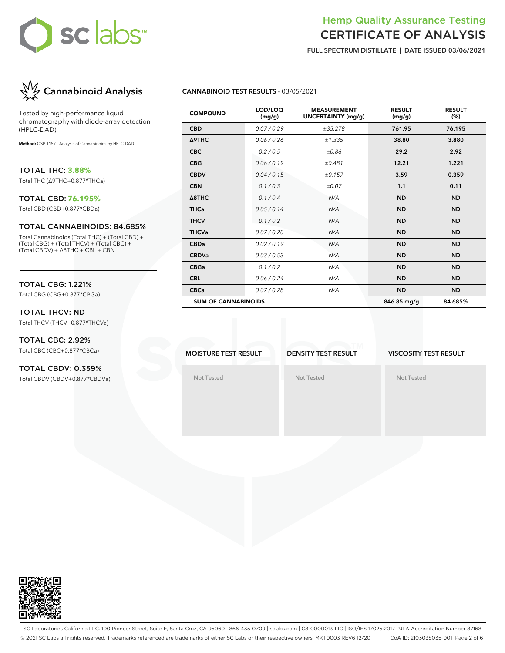

### Hemp Quality Assurance Testing CERTIFICATE OF ANALYSIS

**FULL SPECTRUM DISTILLATE | DATE ISSUED 03/06/2021**



Tested by high-performance liquid chromatography with diode-array detection (HPLC-DAD).

**Method:** QSP 1157 - Analysis of Cannabinoids by HPLC-DAD

TOTAL THC: **3.88%** Total THC (∆9THC+0.877\*THCa)

#### TOTAL CBD: **76.195%**

Total CBD (CBD+0.877\*CBDa)

#### TOTAL CANNABINOIDS: 84.685%

Total Cannabinoids (Total THC) + (Total CBD) + (Total CBG) + (Total THCV) + (Total CBC) + (Total CBDV) + ∆8THC + CBL + CBN

#### TOTAL CBG: 1.221%

Total CBG (CBG+0.877\*CBGa)

#### TOTAL THCV: ND Total THCV (THCV+0.877\*THCVa)

#### TOTAL CBC: 2.92% Total CBC (CBC+0.877\*CBCa)

TOTAL CBDV: 0.359% Total CBDV (CBDV+0.877\*CBDVa)

#### **CANNABINOID TEST RESULTS -** 03/05/2021

| <b>COMPOUND</b>            | LOD/LOQ<br>(mg/g) | <b>MEASUREMENT</b><br>UNCERTAINTY (mg/g) | <b>RESULT</b><br>(mg/g) | <b>RESULT</b><br>(%) |
|----------------------------|-------------------|------------------------------------------|-------------------------|----------------------|
| <b>CBD</b>                 | 0.07 / 0.29       | ±35.278                                  | 761.95                  | 76.195               |
| Δ9THC                      | 0.06 / 0.26       | ±1.335                                   | 38.80                   | 3.880                |
| <b>CBC</b>                 | 0.2 / 0.5         | ±0.86                                    | 29.2                    | 2.92                 |
| <b>CBG</b>                 | 0.06/0.19         | ±0.481                                   | 12.21                   | 1.221                |
| <b>CBDV</b>                | 0.04 / 0.15       | ±0.157                                   | 3.59                    | 0.359                |
| <b>CBN</b>                 | 0.1/0.3           | $\pm 0.07$                               | 1.1                     | 0.11                 |
| $\triangle$ 8THC           | 0.1 / 0.4         | N/A                                      | <b>ND</b>               | <b>ND</b>            |
| <b>THCa</b>                | 0.05 / 0.14       | N/A                                      | <b>ND</b>               | <b>ND</b>            |
| <b>THCV</b>                | 0.1/0.2           | N/A                                      | <b>ND</b>               | <b>ND</b>            |
| <b>THCVa</b>               | 0.07 / 0.20       | N/A                                      | <b>ND</b>               | <b>ND</b>            |
| <b>CBDa</b>                | 0.02 / 0.19       | N/A                                      | <b>ND</b>               | <b>ND</b>            |
| <b>CBDVa</b>               | 0.03 / 0.53       | N/A                                      | <b>ND</b>               | <b>ND</b>            |
| <b>CBGa</b>                | 0.1 / 0.2         | N/A                                      | <b>ND</b>               | <b>ND</b>            |
| <b>CBL</b>                 | 0.06 / 0.24       | N/A                                      | <b>ND</b>               | <b>ND</b>            |
| <b>CBCa</b>                | 0.07 / 0.28       | N/A                                      | <b>ND</b>               | <b>ND</b>            |
| <b>SUM OF CANNABINOIDS</b> |                   |                                          | 846.85 mg/g             | 84.685%              |

**MOISTURE TEST RESULT**

**DENSITY TEST RESULT**

**Not Tested**

#### **VISCOSITY TEST RESULT**

**Not Tested**

**Not Tested**



SC Laboratories California LLC. 100 Pioneer Street, Suite E, Santa Cruz, CA 95060 | 866-435-0709 | sclabs.com | C8-0000013-LIC | ISO/IES 17025:2017 PJLA Accreditation Number 87168 © 2021 SC Labs all rights reserved. Trademarks referenced are trademarks of either SC Labs or their respective owners. MKT0003 REV6 12/20 CoA ID: 210303S035-001 Page 2 of 6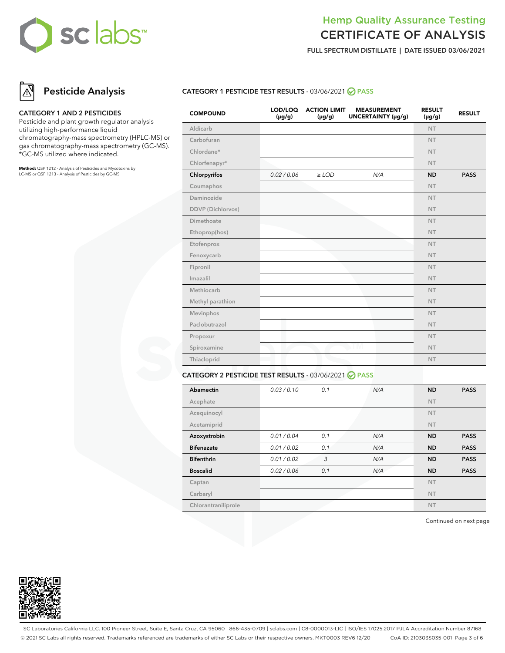## Hemp Quality Assurance Testing CERTIFICATE OF ANALYSIS

**FULL SPECTRUM DISTILLATE | DATE ISSUED 03/06/2021**

## **Pesticide Analysis**

#### **CATEGORY 1 AND 2 PESTICIDES**

Pesticide and plant growth regulator analysis utilizing high-performance liquid chromatography-mass spectrometry (HPLC-MS) or gas chromatography-mass spectrometry (GC-MS). \*GC-MS utilized where indicated.

**Method:** QSP 1212 - Analysis of Pesticides and Mycotoxins by LC-MS or QSP 1213 - Analysis of Pesticides by GC-MS

#### **CATEGORY 1 PESTICIDE TEST RESULTS -** 03/06/2021 **PASS**

| <b>COMPOUND</b>   | LOD/LOQ<br>$(\mu g/g)$ | <b>ACTION LIMIT</b><br>$(\mu g/g)$ | <b>MEASUREMENT</b><br>UNCERTAINTY (µg/g) | <b>RESULT</b><br>$(\mu g/g)$ | <b>RESULT</b> |
|-------------------|------------------------|------------------------------------|------------------------------------------|------------------------------|---------------|
| Aldicarb          |                        |                                    |                                          | <b>NT</b>                    |               |
| Carbofuran        |                        |                                    |                                          | <b>NT</b>                    |               |
| Chlordane*        |                        |                                    |                                          | <b>NT</b>                    |               |
| Chlorfenapyr*     |                        |                                    |                                          | <b>NT</b>                    |               |
| Chlorpyrifos      | 0.02 / 0.06            | $\geq$ LOD                         | N/A                                      | <b>ND</b>                    | <b>PASS</b>   |
| Coumaphos         |                        |                                    |                                          | <b>NT</b>                    |               |
| Daminozide        |                        |                                    |                                          | <b>NT</b>                    |               |
| DDVP (Dichlorvos) |                        |                                    |                                          | <b>NT</b>                    |               |
| Dimethoate        |                        |                                    |                                          | <b>NT</b>                    |               |
| Ethoprop(hos)     |                        |                                    |                                          | NT.                          |               |
| Etofenprox        |                        |                                    |                                          | <b>NT</b>                    |               |
| Fenoxycarb        |                        |                                    |                                          | <b>NT</b>                    |               |
| Fipronil          |                        |                                    |                                          | <b>NT</b>                    |               |
| Imazalil          |                        |                                    |                                          | <b>NT</b>                    |               |
| Methiocarb        |                        |                                    |                                          | <b>NT</b>                    |               |
| Methyl parathion  |                        |                                    |                                          | <b>NT</b>                    |               |
| Mevinphos         |                        |                                    |                                          | <b>NT</b>                    |               |
| Paclobutrazol     |                        |                                    |                                          | <b>NT</b>                    |               |
| Propoxur          |                        |                                    |                                          | <b>NT</b>                    |               |
| Spiroxamine       |                        |                                    | TМ                                       | <b>NT</b>                    |               |
| Thiacloprid       |                        |                                    |                                          | <b>NT</b>                    |               |
|                   |                        |                                    |                                          |                              |               |

#### **CATEGORY 2 PESTICIDE TEST RESULTS -** 03/06/2021 **PASS**

| Abamectin           | 0.03/0.10   | 0.1 | N/A | <b>ND</b> | <b>PASS</b> |
|---------------------|-------------|-----|-----|-----------|-------------|
| Acephate            |             |     |     | <b>NT</b> |             |
| Acequinocyl         |             |     |     | <b>NT</b> |             |
| Acetamiprid         |             |     |     | <b>NT</b> |             |
| Azoxystrobin        | 0.01 / 0.04 | 0.1 | N/A | <b>ND</b> | <b>PASS</b> |
| <b>Bifenazate</b>   | 0.01 / 0.02 | 0.1 | N/A | <b>ND</b> | <b>PASS</b> |
| <b>Bifenthrin</b>   | 0.01 / 0.02 | 3   | N/A | <b>ND</b> | <b>PASS</b> |
| <b>Boscalid</b>     | 0.02 / 0.06 | 0.1 | N/A | <b>ND</b> | <b>PASS</b> |
| Captan              |             |     |     | <b>NT</b> |             |
| Carbaryl            |             |     |     | <b>NT</b> |             |
| Chlorantraniliprole |             |     |     | <b>NT</b> |             |

Continued on next page



SC Laboratories California LLC. 100 Pioneer Street, Suite E, Santa Cruz, CA 95060 | 866-435-0709 | sclabs.com | C8-0000013-LIC | ISO/IES 17025:2017 PJLA Accreditation Number 87168 © 2021 SC Labs all rights reserved. Trademarks referenced are trademarks of either SC Labs or their respective owners. MKT0003 REV6 12/20 CoA ID: 210303S035-001 Page 3 of 6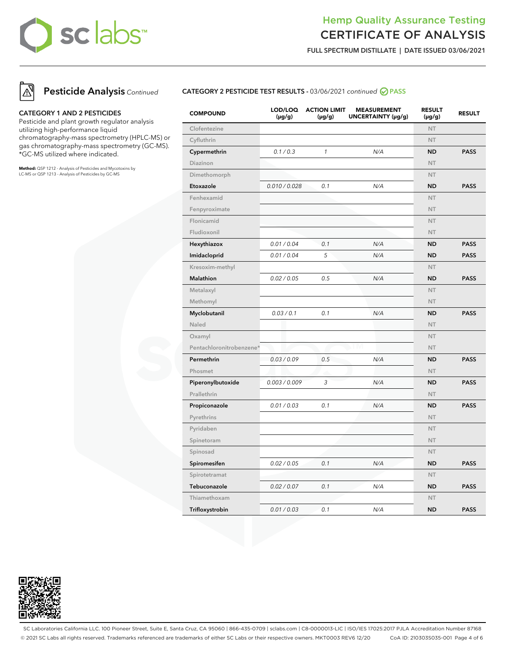## Hemp Quality Assurance Testing CERTIFICATE OF ANALYSIS

**FULL SPECTRUM DISTILLATE | DATE ISSUED 03/06/2021**



#### **CATEGORY 1 AND 2 PESTICIDES**

Pesticide and plant growth regulator analysis utilizing high-performance liquid chromatography-mass spectrometry (HPLC-MS) or gas chromatography-mass spectrometry (GC-MS). \*GC-MS utilized where indicated.

**Method:** QSP 1212 - Analysis of Pesticides and Mycotoxins by LC-MS or QSP 1213 - Analysis of Pesticides by GC-MS

#### **CATEGORY 2 PESTICIDE TEST RESULTS -** 03/06/2021 continued **PASS**

| <b>COMPOUND</b>          | LOD/LOQ<br>(µg/g) | <b>ACTION LIMIT</b><br>$(\mu g/g)$ | <b>MEASUREMENT</b><br>UNCERTAINTY (µg/g) | <b>RESULT</b><br>(µg/g) | <b>RESULT</b> |
|--------------------------|-------------------|------------------------------------|------------------------------------------|-------------------------|---------------|
| Clofentezine             |                   |                                    |                                          | <b>NT</b>               |               |
| Cyfluthrin               |                   |                                    |                                          | <b>NT</b>               |               |
| Cypermethrin             | 0.1 / 0.3         | $\mathbf{1}$                       | N/A                                      | <b>ND</b>               | <b>PASS</b>   |
| Diazinon                 |                   |                                    |                                          | <b>NT</b>               |               |
| Dimethomorph             |                   |                                    |                                          | <b>NT</b>               |               |
| Etoxazole                | 0.010 / 0.028     | 0.1                                | N/A                                      | <b>ND</b>               | <b>PASS</b>   |
| Fenhexamid               |                   |                                    |                                          | <b>NT</b>               |               |
| Fenpyroximate            |                   |                                    |                                          | NT                      |               |
| Flonicamid               |                   |                                    |                                          | NT                      |               |
| Fludioxonil              |                   |                                    |                                          | <b>NT</b>               |               |
| Hexythiazox              | 0.01 / 0.04       | 0.1                                | N/A                                      | <b>ND</b>               | <b>PASS</b>   |
| Imidacloprid             | 0.01 / 0.04       | 5                                  | N/A                                      | <b>ND</b>               | <b>PASS</b>   |
| Kresoxim-methyl          |                   |                                    |                                          | <b>NT</b>               |               |
| Malathion                | 0.02 / 0.05       | 0.5                                | N/A                                      | <b>ND</b>               | <b>PASS</b>   |
| Metalaxyl                |                   |                                    |                                          | <b>NT</b>               |               |
| Methomyl                 |                   |                                    |                                          | <b>NT</b>               |               |
| Myclobutanil             | 0.03 / 0.1        | 0.1                                | N/A                                      | <b>ND</b>               | <b>PASS</b>   |
| Naled                    |                   |                                    |                                          | <b>NT</b>               |               |
| Oxamyl                   |                   |                                    |                                          | <b>NT</b>               |               |
| Pentachloronitrobenzene* |                   |                                    | I M                                      | <b>NT</b>               |               |
| Permethrin               | 0.03 / 0.09       | 0.5                                | N/A                                      | <b>ND</b>               | <b>PASS</b>   |
| Phosmet                  |                   |                                    |                                          | <b>NT</b>               |               |
| Piperonylbutoxide        | 0.003 / 0.009     | 3                                  | N/A                                      | <b>ND</b>               | <b>PASS</b>   |
| Prallethrin              |                   |                                    |                                          | <b>NT</b>               |               |
| Propiconazole            | 0.01 / 0.03       | 0.1                                | N/A                                      | <b>ND</b>               | <b>PASS</b>   |
| Pyrethrins               |                   |                                    |                                          | <b>NT</b>               |               |
| Pyridaben                |                   |                                    |                                          | <b>NT</b>               |               |
| Spinetoram               |                   |                                    |                                          | <b>NT</b>               |               |
| Spinosad                 |                   |                                    |                                          | NT                      |               |
| Spiromesifen             | 0.02 / 0.05       | 0.1                                | N/A                                      | <b>ND</b>               | <b>PASS</b>   |
| Spirotetramat            |                   |                                    |                                          | <b>NT</b>               |               |
| Tebuconazole             | 0.02 / 0.07       | 0.1                                | N/A                                      | <b>ND</b>               | <b>PASS</b>   |
| Thiamethoxam             |                   |                                    |                                          | <b>NT</b>               |               |
| Trifloxystrobin          | 0.01 / 0.03       | 0.1                                | N/A                                      | <b>ND</b>               | <b>PASS</b>   |



SC Laboratories California LLC. 100 Pioneer Street, Suite E, Santa Cruz, CA 95060 | 866-435-0709 | sclabs.com | C8-0000013-LIC | ISO/IES 17025:2017 PJLA Accreditation Number 87168 © 2021 SC Labs all rights reserved. Trademarks referenced are trademarks of either SC Labs or their respective owners. MKT0003 REV6 12/20 CoA ID: 210303S035-001 Page 4 of 6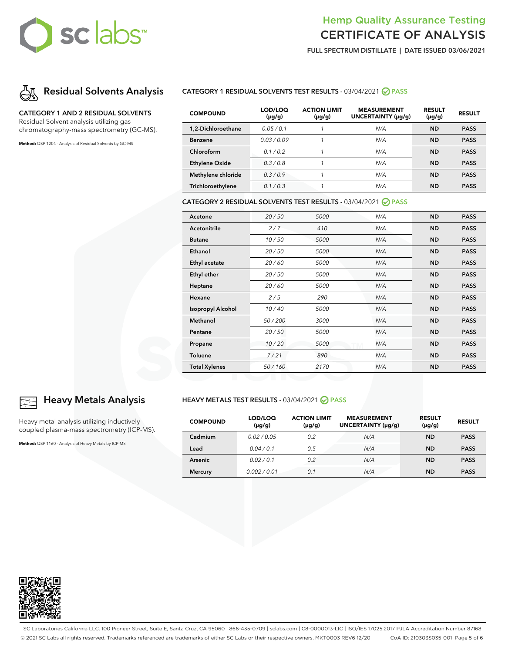## Hemp Quality Assurance Testing CERTIFICATE OF ANALYSIS

**FULL SPECTRUM DISTILLATE | DATE ISSUED 03/06/2021**



#### **CATEGORY 1 AND 2 RESIDUAL SOLVENTS**

Residual Solvent analysis utilizing gas chromatography-mass spectrometry (GC-MS).

**Method:** QSP 1204 - Analysis of Residual Solvents by GC-MS

#### **CATEGORY 1 RESIDUAL SOLVENTS TEST RESULTS -** 03/04/2021 **PASS**

| <b>COMPOUND</b>       | LOD/LOQ<br>$(\mu g/g)$ | <b>ACTION LIMIT</b><br>$(\mu g/g)$ | <b>MEASUREMENT</b><br>UNCERTAINTY (µq/q) | <b>RESULT</b><br>$(\mu g/g)$ | <b>RESULT</b> |
|-----------------------|------------------------|------------------------------------|------------------------------------------|------------------------------|---------------|
| 1,2-Dichloroethane    | 0.05/0.1               |                                    | N/A                                      | <b>ND</b>                    | <b>PASS</b>   |
| <b>Benzene</b>        | 0.03/0.09              |                                    | N/A                                      | <b>ND</b>                    | <b>PASS</b>   |
| Chloroform            | 0.1/0.2                |                                    | N/A                                      | <b>ND</b>                    | <b>PASS</b>   |
| <b>Ethylene Oxide</b> | 0.3/0.8                |                                    | N/A                                      | <b>ND</b>                    | <b>PASS</b>   |
| Methylene chloride    | 0.3/0.9                |                                    | N/A                                      | <b>ND</b>                    | <b>PASS</b>   |
| Trichloroethylene     | 0.1/0.3                |                                    | N/A                                      | <b>ND</b>                    | <b>PASS</b>   |

#### **CATEGORY 2 RESIDUAL SOLVENTS TEST RESULTS -** 03/04/2021 **PASS**

| Acetone                  | 20/50  | 5000 | N/A | <b>ND</b> | <b>PASS</b> |
|--------------------------|--------|------|-----|-----------|-------------|
| Acetonitrile             | 2/7    | 410  | N/A | <b>ND</b> | <b>PASS</b> |
| <b>Butane</b>            | 10/50  | 5000 | N/A | <b>ND</b> | <b>PASS</b> |
| Ethanol                  | 20/50  | 5000 | N/A | <b>ND</b> | <b>PASS</b> |
| Ethyl acetate            | 20/60  | 5000 | N/A | <b>ND</b> | <b>PASS</b> |
| <b>Ethyl ether</b>       | 20/50  | 5000 | N/A | <b>ND</b> | <b>PASS</b> |
| Heptane                  | 20/60  | 5000 | N/A | <b>ND</b> | <b>PASS</b> |
| Hexane                   | 2/5    | 290  | N/A | <b>ND</b> | <b>PASS</b> |
| <b>Isopropyl Alcohol</b> | 10/40  | 5000 | N/A | <b>ND</b> | <b>PASS</b> |
| Methanol                 | 50/200 | 3000 | N/A | <b>ND</b> | <b>PASS</b> |
| Pentane                  | 20/50  | 5000 | N/A | <b>ND</b> | <b>PASS</b> |
| Propane                  | 10/20  | 5000 | N/A | <b>ND</b> | <b>PASS</b> |
| Toluene                  | 7/21   | 890  | N/A | <b>ND</b> | <b>PASS</b> |
| <b>Total Xylenes</b>     | 50/160 | 2170 | N/A | <b>ND</b> | <b>PASS</b> |

#### **HEAVY METALS TEST RESULTS -** 03/04/2021 **PASS**

| <b>COMPOUND</b> | LOD/LOQ<br>$(\mu g/g)$ | <b>ACTION LIMIT</b><br>$(\mu g/g)$ | <b>MEASUREMENT</b><br>UNCERTAINTY (µg/g) | <b>RESULT</b><br>$(\mu g/g)$ | <b>RESULT</b> |
|-----------------|------------------------|------------------------------------|------------------------------------------|------------------------------|---------------|
| Cadmium         | 0.02/0.05              | 0.2                                | N/A                                      | <b>ND</b>                    | <b>PASS</b>   |
| Lead            | 0.04/0.1               | 0.5                                | N/A                                      | <b>ND</b>                    | <b>PASS</b>   |
| <b>Arsenic</b>  | 0.02 / 0.1             | 0.2                                | N/A                                      | <b>ND</b>                    | <b>PASS</b>   |
| <b>Mercury</b>  | 0.002/0.01             | 0.1                                | N/A                                      | <b>ND</b>                    | <b>PASS</b>   |



#### **Heavy Metals Analysis**

Heavy metal analysis utilizing inductively coupled plasma-mass spectrometry (ICP-MS).

**Method:** QSP 1160 - Analysis of Heavy Metals by ICP-MS



SC Laboratories California LLC. 100 Pioneer Street, Suite E, Santa Cruz, CA 95060 | 866-435-0709 | sclabs.com | C8-0000013-LIC | ISO/IES 17025:2017 PJLA Accreditation Number 87168 © 2021 SC Labs all rights reserved. Trademarks referenced are trademarks of either SC Labs or their respective owners. MKT0003 REV6 12/20 CoA ID: 210303S035-001 Page 5 of 6